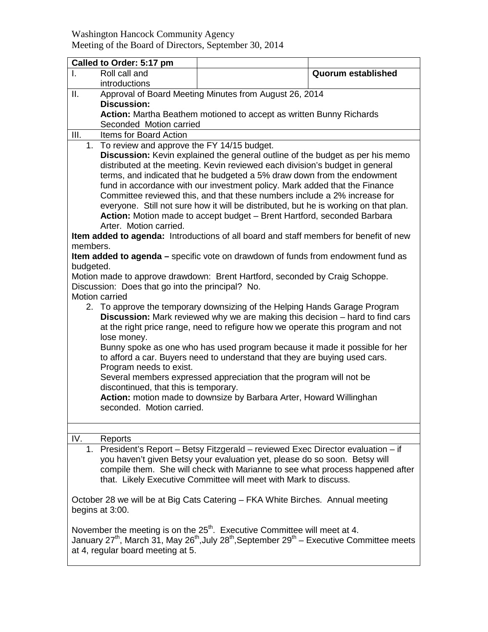## Washington Hancock Community Agency Meeting of the Board of Directors, September 30, 2014

| Called to Order: 5:17 pm                                                                                                                                                                                                                                                                                                                                                                                                                                                                                                                                                                         |                                                                                                                                                                                                                                                                                                                      |                           |  |  |
|--------------------------------------------------------------------------------------------------------------------------------------------------------------------------------------------------------------------------------------------------------------------------------------------------------------------------------------------------------------------------------------------------------------------------------------------------------------------------------------------------------------------------------------------------------------------------------------------------|----------------------------------------------------------------------------------------------------------------------------------------------------------------------------------------------------------------------------------------------------------------------------------------------------------------------|---------------------------|--|--|
| Roll call and<br>Ι.<br>introductions                                                                                                                                                                                                                                                                                                                                                                                                                                                                                                                                                             |                                                                                                                                                                                                                                                                                                                      | <b>Quorum established</b> |  |  |
| Ш.                                                                                                                                                                                                                                                                                                                                                                                                                                                                                                                                                                                               | Approval of Board Meeting Minutes from August 26, 2014                                                                                                                                                                                                                                                               |                           |  |  |
|                                                                                                                                                                                                                                                                                                                                                                                                                                                                                                                                                                                                  | <b>Discussion:</b>                                                                                                                                                                                                                                                                                                   |                           |  |  |
|                                                                                                                                                                                                                                                                                                                                                                                                                                                                                                                                                                                                  | Action: Martha Beathem motioned to accept as written Bunny Richards                                                                                                                                                                                                                                                  |                           |  |  |
| III.<br>Items for Board Action                                                                                                                                                                                                                                                                                                                                                                                                                                                                                                                                                                   | Seconded Motion carried                                                                                                                                                                                                                                                                                              |                           |  |  |
| To review and approve the FY 14/15 budget.<br>1.                                                                                                                                                                                                                                                                                                                                                                                                                                                                                                                                                 |                                                                                                                                                                                                                                                                                                                      |                           |  |  |
| Discussion: Kevin explained the general outline of the budget as per his memo<br>distributed at the meeting. Kevin reviewed each division's budget in general<br>terms, and indicated that he budgeted a 5% draw down from the endowment<br>fund in accordance with our investment policy. Mark added that the Finance<br>Committee reviewed this, and that these numbers include a 2% increase for<br>everyone. Still not sure how it will be distributed, but he is working on that plan.<br>Action: Motion made to accept budget - Brent Hartford, seconded Barbara<br>Arter. Motion carried. |                                                                                                                                                                                                                                                                                                                      |                           |  |  |
| Item added to agenda: Introductions of all board and staff members for benefit of new                                                                                                                                                                                                                                                                                                                                                                                                                                                                                                            |                                                                                                                                                                                                                                                                                                                      |                           |  |  |
| members.                                                                                                                                                                                                                                                                                                                                                                                                                                                                                                                                                                                         |                                                                                                                                                                                                                                                                                                                      |                           |  |  |
| Item added to agenda - specific vote on drawdown of funds from endowment fund as                                                                                                                                                                                                                                                                                                                                                                                                                                                                                                                 |                                                                                                                                                                                                                                                                                                                      |                           |  |  |
| budgeted.                                                                                                                                                                                                                                                                                                                                                                                                                                                                                                                                                                                        |                                                                                                                                                                                                                                                                                                                      |                           |  |  |
| Motion made to approve drawdown: Brent Hartford, seconded by Craig Schoppe.<br>Discussion: Does that go into the principal? No.<br>Motion carried                                                                                                                                                                                                                                                                                                                                                                                                                                                |                                                                                                                                                                                                                                                                                                                      |                           |  |  |
| 2. To approve the temporary downsizing of the Helping Hands Garage Program<br><b>Discussion:</b> Mark reviewed why we are making this decision – hard to find cars<br>at the right price range, need to refigure how we operate this program and not<br>lose money.                                                                                                                                                                                                                                                                                                                              |                                                                                                                                                                                                                                                                                                                      |                           |  |  |
| Bunny spoke as one who has used program because it made it possible for her<br>to afford a car. Buyers need to understand that they are buying used cars.                                                                                                                                                                                                                                                                                                                                                                                                                                        |                                                                                                                                                                                                                                                                                                                      |                           |  |  |
| Program needs to exist.<br>Several members expressed appreciation that the program will not be<br>discontinued, that this is temporary.                                                                                                                                                                                                                                                                                                                                                                                                                                                          |                                                                                                                                                                                                                                                                                                                      |                           |  |  |
| Action: motion made to downsize by Barbara Arter, Howard Willinghan<br>seconded. Motion carried.                                                                                                                                                                                                                                                                                                                                                                                                                                                                                                 |                                                                                                                                                                                                                                                                                                                      |                           |  |  |
|                                                                                                                                                                                                                                                                                                                                                                                                                                                                                                                                                                                                  |                                                                                                                                                                                                                                                                                                                      |                           |  |  |
| IV.<br>Reports                                                                                                                                                                                                                                                                                                                                                                                                                                                                                                                                                                                   |                                                                                                                                                                                                                                                                                                                      |                           |  |  |
|                                                                                                                                                                                                                                                                                                                                                                                                                                                                                                                                                                                                  | 1. President's Report - Betsy Fitzgerald - reviewed Exec Director evaluation - if<br>you haven't given Betsy your evaluation yet, please do so soon. Betsy will<br>compile them. She will check with Marianne to see what process happened after<br>that. Likely Executive Committee will meet with Mark to discuss. |                           |  |  |
| October 28 we will be at Big Cats Catering – FKA White Birches. Annual meeting<br>begins at 3:00.                                                                                                                                                                                                                                                                                                                                                                                                                                                                                                |                                                                                                                                                                                                                                                                                                                      |                           |  |  |
| November the meeting is on the 25 <sup>th</sup> . Executive Committee will meet at 4.<br>January 27 <sup>th</sup> , March 31, May 26 <sup>th</sup> , July 28 <sup>th</sup> , September 29 <sup>th</sup> – Executive Committee meets<br>at 4, regular board meeting at 5.                                                                                                                                                                                                                                                                                                                         |                                                                                                                                                                                                                                                                                                                      |                           |  |  |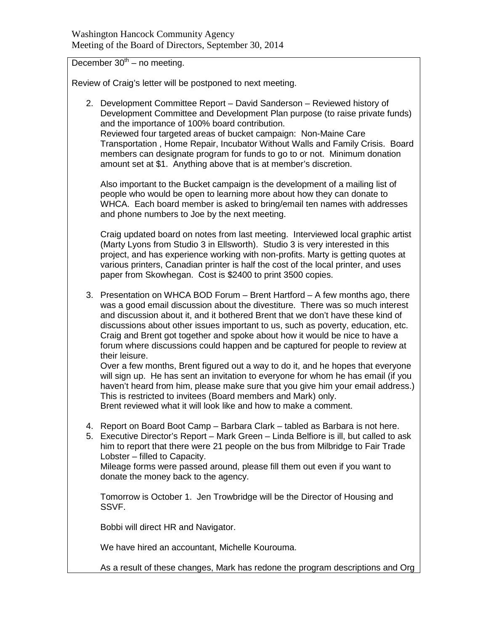December  $30<sup>th</sup>$  – no meeting.

Review of Craig's letter will be postponed to next meeting.

2. Development Committee Report – David Sanderson – Reviewed history of Development Committee and Development Plan purpose (to raise private funds) and the importance of 100% board contribution. Reviewed four targeted areas of bucket campaign: Non-Maine Care Transportation , Home Repair, Incubator Without Walls and Family Crisis. Board members can designate program for funds to go to or not. Minimum donation amount set at \$1. Anything above that is at member's discretion.

Also important to the Bucket campaign is the development of a mailing list of people who would be open to learning more about how they can donate to WHCA. Each board member is asked to bring/email ten names with addresses and phone numbers to Joe by the next meeting.

Craig updated board on notes from last meeting. Interviewed local graphic artist (Marty Lyons from Studio 3 in Ellsworth). Studio 3 is very interested in this project, and has experience working with non-profits. Marty is getting quotes at various printers, Canadian printer is half the cost of the local printer, and uses paper from Skowhegan. Cost is \$2400 to print 3500 copies.

3. Presentation on WHCA BOD Forum – Brent Hartford – A few months ago, there was a good email discussion about the divestiture. There was so much interest and discussion about it, and it bothered Brent that we don't have these kind of discussions about other issues important to us, such as poverty, education, etc. Craig and Brent got together and spoke about how it would be nice to have a forum where discussions could happen and be captured for people to review at their leisure.

Over a few months, Brent figured out a way to do it, and he hopes that everyone will sign up. He has sent an invitation to everyone for whom he has email (if you haven't heard from him, please make sure that you give him your email address.) This is restricted to invitees (Board members and Mark) only.

Brent reviewed what it will look like and how to make a comment.

- 4. Report on Board Boot Camp Barbara Clark tabled as Barbara is not here.
- 5. Executive Director's Report Mark Green Linda Belfiore is ill, but called to ask him to report that there were 21 people on the bus from Milbridge to Fair Trade Lobster – filled to Capacity.

Mileage forms were passed around, please fill them out even if you want to donate the money back to the agency.

Tomorrow is October 1. Jen Trowbridge will be the Director of Housing and SSVF.

Bobbi will direct HR and Navigator.

We have hired an accountant, Michelle Kourouma.

As a result of these changes, Mark has redone the program descriptions and Org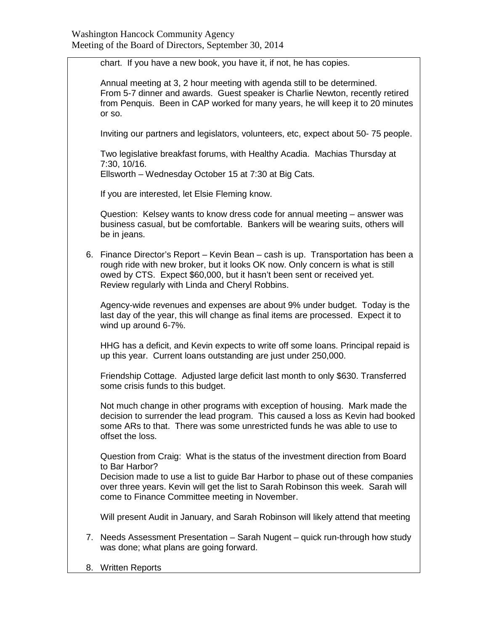chart. If you have a new book, you have it, if not, he has copies. Annual meeting at 3, 2 hour meeting with agenda still to be determined. From 5-7 dinner and awards. Guest speaker is Charlie Newton, recently retired from Penquis. Been in CAP worked for many years, he will keep it to 20 minutes or so. Inviting our partners and legislators, volunteers, etc, expect about 50- 75 people. Two legislative breakfast forums, with Healthy Acadia. Machias Thursday at 7:30, 10/16. Ellsworth – Wednesday October 15 at 7:30 at Big Cats. If you are interested, let Elsie Fleming know. Question: Kelsey wants to know dress code for annual meeting – answer was business casual, but be comfortable. Bankers will be wearing suits, others will be in jeans. 6. Finance Director's Report – Kevin Bean – cash is up. Transportation has been a rough ride with new broker, but it looks OK now. Only concern is what is still owed by CTS. Expect \$60,000, but it hasn't been sent or received yet. Review regularly with Linda and Cheryl Robbins. Agency-wide revenues and expenses are about 9% under budget. Today is the last day of the year, this will change as final items are processed. Expect it to wind up around 6-7%. HHG has a deficit, and Kevin expects to write off some loans. Principal repaid is up this year. Current loans outstanding are just under 250,000. Friendship Cottage. Adjusted large deficit last month to only \$630. Transferred some crisis funds to this budget. Not much change in other programs with exception of housing. Mark made the decision to surrender the lead program. This caused a loss as Kevin had booked some ARs to that. There was some unrestricted funds he was able to use to offset the loss. Question from Craig: What is the status of the investment direction from Board to Bar Harbor? Decision made to use a list to guide Bar Harbor to phase out of these companies over three years. Kevin will get the list to Sarah Robinson this week. Sarah will come to Finance Committee meeting in November. Will present Audit in January, and Sarah Robinson will likely attend that meeting 7. Needs Assessment Presentation – Sarah Nugent – quick run-through how study was done; what plans are going forward.

8. Written Reports